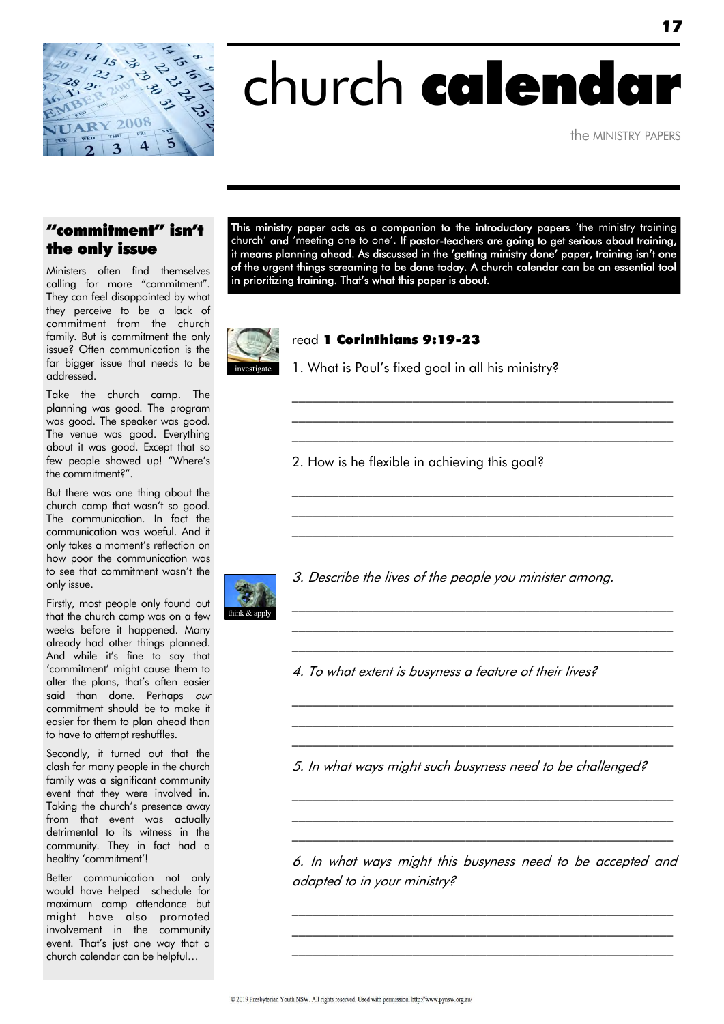

# church calendar

the MINISTRY PAPERS

#### "commitment" isn't the only issue

Ministers often find themselves calling for more "commitment". They can feel disappointed by what they perceive to be a lack of commitment from the church family. But is commitment the only issue? Often communication is the far bigger issue that needs to be addressed.

Take the church camp. The planning was good. The program was good. The speaker was good. The venue was good. Everything about it was good. Except that so few people showed up! "Where"s the commitment?".

But there was one thing about the church camp that wasn't so good. The communication. In fact the communication was woeful. And it only takes a moment"s reflection on how poor the communication was to see that commitment wasn"t the only issue.

Firstly, most people only found out that the church camp was on a few weeks before it happened. Many already had other things planned. And while it"s fine to say that "commitment" might cause them to alter the plans, that"s often easier said than done. Perhaps our commitment should be to make it easier for them to plan ahead than to have to attempt reshuffles.

Secondly, it turned out that the clash for many people in the church family was a significant community event that they were involved in. Taking the church's presence away from that event was actually detrimental to its witness in the community. They in fact had a healthy 'commitment'!

Better communication not only would have helped schedule for maximum camp attendance but might have also promoted involvement in the community event. That"s just one way that a church calendar can be helpful…

This ministry paper acts as a companion to the introductory papers 'the ministry training church' and 'meeting one to one'. If pastor-teachers are going to get serious about training, it means planning ahead. As discussed in the "getting ministry done" paper, training isn"t one of the urgent things screaming to be done today. A church calendar can be an essential tool in prioritizing training. That"s what this paper is about.

> \_\_\_\_\_\_\_\_\_\_\_\_\_\_\_\_\_\_\_\_\_\_\_\_\_\_\_\_\_\_\_\_\_\_\_\_\_\_\_\_\_\_\_\_\_\_\_\_\_\_\_\_\_\_\_\_\_  $\mathcal{L}_\text{max}$  and the contract of the contract of the contract of the contract of the contract of the contract of \_\_\_\_\_\_\_\_\_\_\_\_\_\_\_\_\_\_\_\_\_\_\_\_\_\_\_\_\_\_\_\_\_\_\_\_\_\_\_\_\_\_\_\_\_\_\_\_\_\_\_\_\_\_\_\_\_

> $\mathcal{L}_\text{max}$  and the contract of the contract of the contract of the contract of the contract of the contract of  $\mathcal{L}_\text{max}$  and the contract of the contract of the contract of the contract of the contract of the contract of  $\mathcal{L}_\text{max}$  and the contract of the contract of the contract of the contract of the contract of the contract of

> $\mathcal{L}_\text{max}$  and the contract of the contract of the contract of the contract of the contract of the contract of  $\mathcal{L}_\text{max}$  and the contract of the contract of the contract of the contract of the contract of the contract of  $\mathcal{L}_\text{max}$  and the contract of the contract of the contract of the contract of the contract of the contract of

> $\mathcal{L}_\text{max}$  and the contract of the contract of the contract of the contract of the contract of the contract of  $\mathcal{L}_\text{max}$  and the contract of the contract of the contract of the contract of the contract of the contract of  $\mathcal{L}_\text{max}$  and the contract of the contract of the contract of the contract of the contract of the contract of



#### read 1 Corinthians 9:19-23

1. What is Paul"s fixed goal in all his ministry?

2. How is he flexible in achieving this goal?



3. Describe the lives of the people you minister among.

4. To what extent is busyness a feature of their lives?

5. In what ways might such busyness need to be challenged?

6. In what ways might this busyness need to be accepted and adapted to in your ministry?

\_\_\_\_\_\_\_\_\_\_\_\_\_\_\_\_\_\_\_\_\_\_\_\_\_\_\_\_\_\_\_\_\_\_\_\_\_\_\_\_\_\_\_\_\_\_\_\_\_\_\_\_\_\_\_\_\_  $\mathcal{L}_\text{max}$  and the contract of the contract of the contract of the contract of the contract of the contract of \_\_\_\_\_\_\_\_\_\_\_\_\_\_\_\_\_\_\_\_\_\_\_\_\_\_\_\_\_\_\_\_\_\_\_\_\_\_\_\_\_\_\_\_\_\_\_\_\_\_\_\_\_\_\_\_\_

 $\mathcal{L}_\text{max}$  and the contract of the contract of the contract of the contract of the contract of the contract of  $\mathcal{L}_\text{max}$  and the contract of the contract of the contract of the contract of the contract of the contract of \_\_\_\_\_\_\_\_\_\_\_\_\_\_\_\_\_\_\_\_\_\_\_\_\_\_\_\_\_\_\_\_\_\_\_\_\_\_\_\_\_\_\_\_\_\_\_\_\_\_\_\_\_\_\_\_\_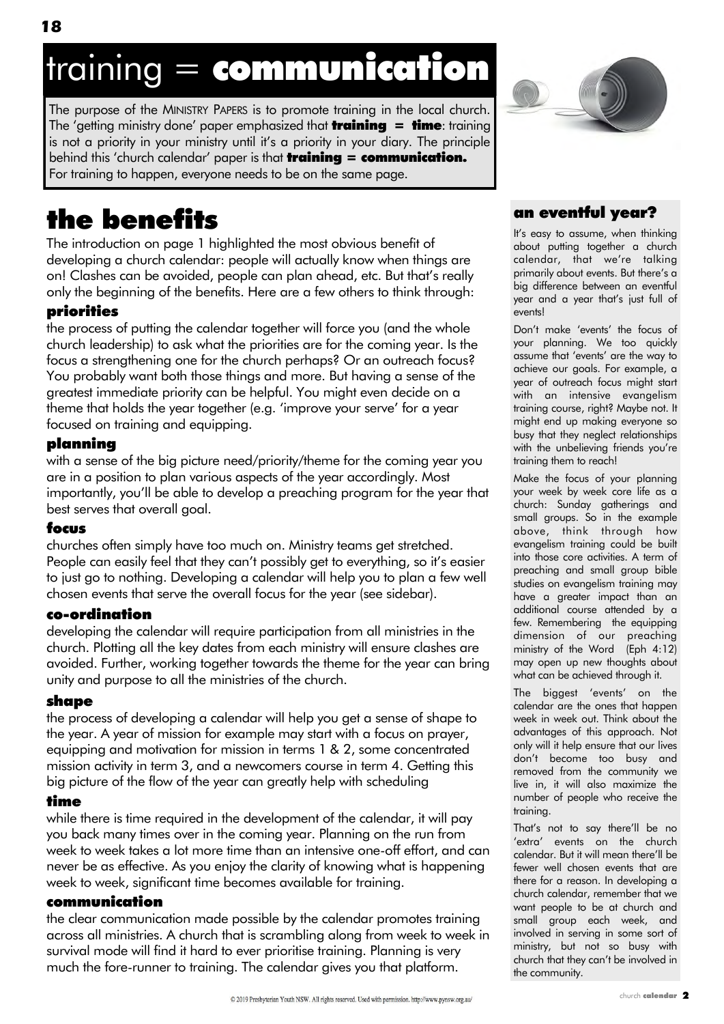## training = communication

The purpose of the MINISTRY PAPERS is to promote training in the local church. The 'getting ministry done' paper emphasized that **training = time**: training is not a priority in your ministry until it"s a priority in your diary. The principle behind this 'church calendar' paper is that **training = communication.** For training to happen, everyone needs to be on the same page.



The introduction on page 1 highlighted the most obvious benefit of developing a church calendar: people will actually know when things are on! Clashes can be avoided, people can plan ahead, etc. But that"s really only the beginning of the benefits. Here are a few others to think through:

#### priorities

the process of putting the calendar together will force you (and the whole church leadership) to ask what the priorities are for the coming year. Is the focus a strengthening one for the church perhaps? Or an outreach focus? You probably want both those things and more. But having a sense of the greatest immediate priority can be helpful. You might even decide on a theme that holds the year together (e.g. "improve your serve" for a year focused on training and equipping.

#### planning

with a sense of the big picture need/priority/theme for the coming year you are in a position to plan various aspects of the year accordingly. Most importantly, you"ll be able to develop a preaching program for the year that best serves that overall goal.

#### focus

churches often simply have too much on. Ministry teams get stretched. People can easily feel that they can't possibly get to everything, so it's easier to just go to nothing. Developing a calendar will help you to plan a few well chosen events that serve the overall focus for the year (see sidebar).

#### co-ordination

developing the calendar will require participation from all ministries in the church. Plotting all the key dates from each ministry will ensure clashes are avoided. Further, working together towards the theme for the year can bring unity and purpose to all the ministries of the church.

#### shape

the process of developing a calendar will help you get a sense of shape to the year. A year of mission for example may start with a focus on prayer, equipping and motivation for mission in terms 1 & 2, some concentrated mission activity in term 3, and a newcomers course in term 4. Getting this big picture of the flow of the year can greatly help with scheduling

#### time

while there is time required in the development of the calendar, it will pay you back many times over in the coming year. Planning on the run from week to week takes a lot more time than an intensive one-off effort, and can never be as effective. As you enjoy the clarity of knowing what is happening week to week, significant time becomes available for training.

#### communication

the clear communication made possible by the calendar promotes training across all ministries. A church that is scrambling along from week to week in survival mode will find it hard to ever prioritise training. Planning is very much the fore-runner to training. The calendar gives you that platform.



#### an eventful year?

It's easy to assume, when thinking about putting together a church calendar, that we"re talking primarily about events. But there's a big difference between an eventful year and a year that"s just full of events!

Don"t make "events" the focus of your planning. We too quickly assume that "events" are the way to achieve our goals. For example, a year of outreach focus might start with an intensive evangelism training course, right? Maybe not. It might end up making everyone so busy that they neglect relationships with the unbelieving friends you're training them to reach!

Make the focus of your planning your week by week core life as a church: Sunday gatherings and small groups. So in the example above, think through how evangelism training could be built into those core activities. A term of preaching and small group bible studies on evangelism training may have a greater impact than an additional course attended by a few. Remembering the equipping dimension of our preaching ministry of the Word (Eph 4:12) may open up new thoughts about what can be achieved through it.

The biggest "events" on the calendar are the ones that happen week in week out. Think about the advantages of this approach. Not only will it help ensure that our lives don"t become too busy and removed from the community we live in, it will also maximize the number of people who receive the training.

That"s not to say there"ll be no 'extra' events on the church calendar. But it will mean there"ll be fewer well chosen events that are there for a reason. In developing a church calendar, remember that we want people to be at church and small group each week, and involved in serving in some sort of ministry, but not so busy with church that they can"t be involved in the community.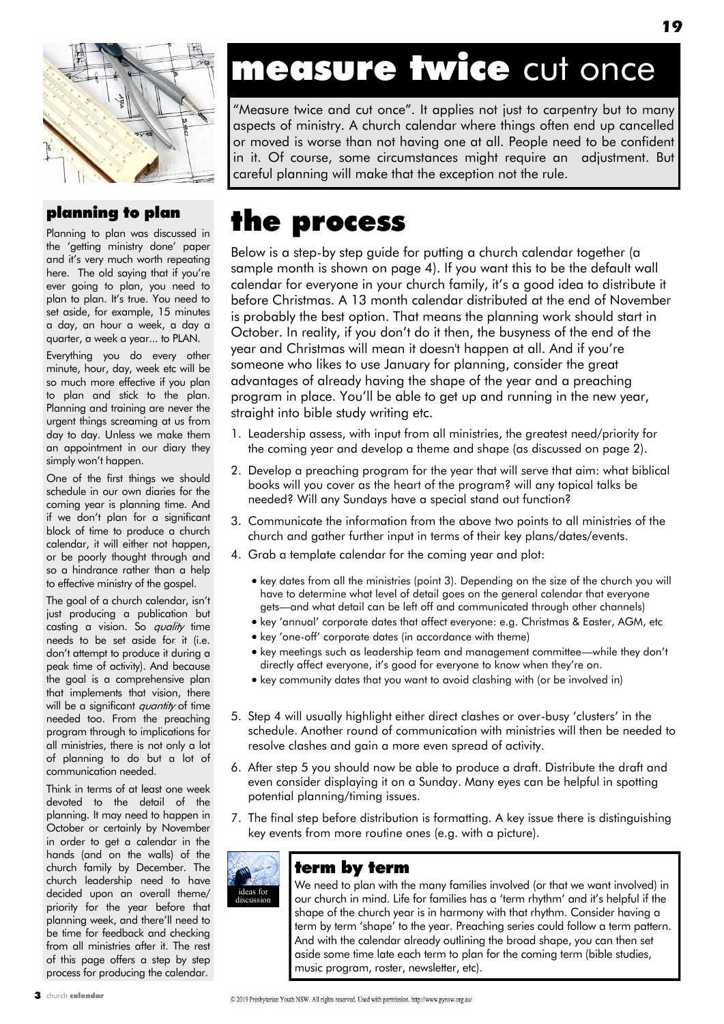

#### planning to plan

Planning to plan was discussed in the 'getting ministry done' paper and it"s very much worth repeating here. The old saying that if you're ever going to plan, you need to plan to plan. It's true. You need to set aside, for example, 15 minutes a day, an hour a week, a day a quarter, a week a year... to PLAN.

Everything you do every other minute, hour, day, week etc will be so much more effective if you plan to plan and stick to the plan. Planning and training are never the urgent things screaming at us from day to day. Unless we make them an appointment in our diary they simply won't happen.

One of the first things we should schedule in our own diaries for the coming year is planning time. And if we don"t plan for a significant block of time to produce a church calendar, it will either not happen, or be poorly thought through and so a hindrance rather than a help to effective ministry of the gospel.

The goal of a church calendar, isn't just producing a publication but casting a vision. So *quality* time needs to be set aside for it (i.e. don"t attempt to produce it during a peak time of activity). And because the goal is a comprehensive plan that implements that vision, there will be a significant quantity of time needed too. From the preaching program through to implications for all ministries, there is not only a lot of planning to do but a lot of communication needed.

Think in terms of at least one week devoted to the detail of the planning. It may need to happen in October or certainly by November in order to get a calendar in the hands (and on the walls) of the church family by December. The church leadership need to have decided upon an overall theme/ priority for the year before that planning week, and there"ll need to be time for feedback and checking from all ministries after it. The rest of this page offers a step by step process for producing the calendar.

### measure twice cut once

"Measure twice and cut once". It applies not just to carpentry but to many aspects of ministry. A church calendar where things often end up cancelled or moved is worse than not having one at all. People need to be confident in it. Of course, some circumstances might require an adjustment. But careful planning will make that the exception not the rule.

### the process

Below is a step-by step guide for putting a church calendar together (a sample month is shown on page 4). If you want this to be the default wall calendar for everyone in your church family, it"s a good idea to distribute it before Christmas. A 13 month calendar distributed at the end of November is probably the best option. That means the planning work should start in October. In reality, if you don"t do it then, the busyness of the end of the year and Christmas will mean it doesn't happen at all. And if you"re someone who likes to use January for planning, consider the great advantages of already having the shape of the year and a preaching program in place. You"ll be able to get up and running in the new year, straight into bible study writing etc.

- 1. Leadership assess, with input from all ministries, the greatest need/priority for the coming year and develop a theme and shape (as discussed on page 2).
- 2. Develop a preaching program for the year that will serve that aim: what biblical books will you cover as the heart of the program? will any topical talks be needed? Will any Sundays have a special stand out function?
- 3. Communicate the information from the above two points to all ministries of the church and gather further input in terms of their key plans/dates/events.
- 4. Grab a template calendar for the coming year and plot:
	- key dates from all the ministries (point 3). Depending on the size of the church you will have to determine what level of detail goes on the general calendar that everyone gets—and what detail can be left off and communicated through other channels)
	- key "annual" corporate dates that affect everyone: e.g. Christmas & Easter, AGM, etc
	- key 'one-off' corporate dates (in accordance with theme)
	- key meetings such as leadership team and management committee—while they don't directly affect everyone, it"s good for everyone to know when they"re on.
	- key community dates that you want to avoid clashing with (or be involved in)
- 5. Step 4 will usually highlight either direct clashes or over-busy "clusters" in the schedule. Another round of communication with ministries will then be needed to resolve clashes and gain a more even spread of activity.
- 6. After step 5 you should now be able to produce a draft. Distribute the draft and even consider displaying it on a Sunday. Many eyes can be helpful in spotting potential planning/timing issues.
- 7. The final step before distribution is formatting. A key issue there is distinguishing key events from more routine ones (e.g. with a picture).



#### term by term

We need to plan with the many families involved (or that we want involved) in our church in mind. Life for families has a "term rhythm" and it"s helpful if the shape of the church year is in harmony with that rhythm. Consider having a term by term "shape" to the year. Preaching series could follow a term pattern. And with the calendar already outlining the broad shape, you can then set aside some time late each term to plan for the coming term (bible studies, music program, roster, newsletter, etc).